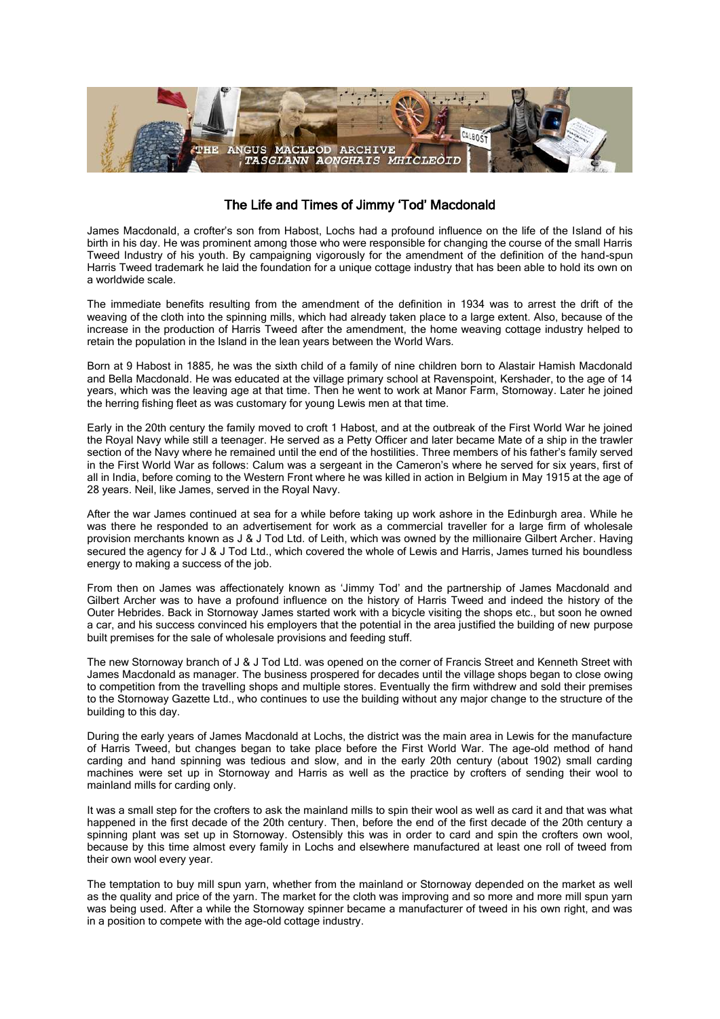

## The Life and Times of Jimmy 'Tod' Macdonald

James Macdonald, a crofter's son from Habost, Lochs had a profound influence on the life of the Island of his birth in his day. He was prominent among those who were responsible for changing the course of the small Harris Tweed Industry of his youth. By campaigning vigorously for the amendment of the definition of the hand-spun Harris Tweed trademark he laid the foundation for a unique cottage industry that has been able to hold its own on a worldwide scale.

The immediate benefits resulting from the amendment of the definition in 1934 was to arrest the drift of the weaving of the cloth into the spinning mills, which had already taken place to a large extent. Also, because of the increase in the production of Harris Tweed after the amendment, the home weaving cottage industry helped to retain the population in the Island in the lean years between the World Wars.

Born at 9 Habost in 1885, he was the sixth child of a family of nine children born to Alastair Hamish Macdonald and Bella Macdonald. He was educated at the village primary school at Ravenspoint, Kershader, to the age of 14 years, which was the leaving age at that time. Then he went to work at Manor Farm, Stornoway. Later he joined the herring fishing fleet as was customary for young Lewis men at that time.

Early in the 20th century the family moved to croft 1 Habost, and at the outbreak of the First World War he joined the Royal Navy while still a teenager. He served as a Petty Officer and later became Mate of a ship in the trawler section of the Navy where he remained until the end of the hostilities. Three members of his father's family served in the First World War as follows: Calum was a sergeant in the Cameron's where he served for six years, first of all in India, before coming to the Western Front where he was killed in action in Belgium in May 1915 at the age of 28 years. Neil, like James, served in the Royal Navy.

After the war James continued at sea for a while before taking up work ashore in the Edinburgh area. While he was there he responded to an advertisement for work as a commercial traveller for a large firm of wholesale provision merchants known as J & J Tod Ltd. of Leith, which was owned by the millionaire Gilbert Archer. Having secured the agency for J & J Tod Ltd., which covered the whole of Lewis and Harris, James turned his boundless energy to making a success of the job.

From then on James was affectionately known as 'Jimmy Tod' and the partnership of James Macdonald and Gilbert Archer was to have a profound influence on the history of Harris Tweed and indeed the history of the Outer Hebrides. Back in Stornoway James started work with a bicycle visiting the shops etc., but soon he owned a car, and his success convinced his employers that the potential in the area justified the building of new purpose built premises for the sale of wholesale provisions and feeding stuff.

The new Stornoway branch of J & J Tod Ltd. was opened on the corner of Francis Street and Kenneth Street with James Macdonald as manager. The business prospered for decades until the village shops began to close owing to competition from the travelling shops and multiple stores. Eventually the firm withdrew and sold their premises to the Stornoway Gazette Ltd., who continues to use the building without any major change to the structure of the building to this day.

During the early years of James Macdonald at Lochs, the district was the main area in Lewis for the manufacture of Harris Tweed, but changes began to take place before the First World War. The age-old method of hand carding and hand spinning was tedious and slow, and in the early 20th century (about 1902) small carding machines were set up in Stornoway and Harris as well as the practice by crofters of sending their wool to mainland mills for carding only.

It was a small step for the crofters to ask the mainland mills to spin their wool as well as card it and that was what happened in the first decade of the 20th century. Then, before the end of the first decade of the 20th century a spinning plant was set up in Stornoway. Ostensibly this was in order to card and spin the crofters own wool, because by this time almost every family in Lochs and elsewhere manufactured at least one roll of tweed from their own wool every year.

The temptation to buy mill spun yarn, whether from the mainland or Stornoway depended on the market as well as the quality and price of the yarn. The market for the cloth was improving and so more and more mill spun yarn was being used. After a while the Stornoway spinner became a manufacturer of tweed in his own right, and was in a position to compete with the age-old cottage industry.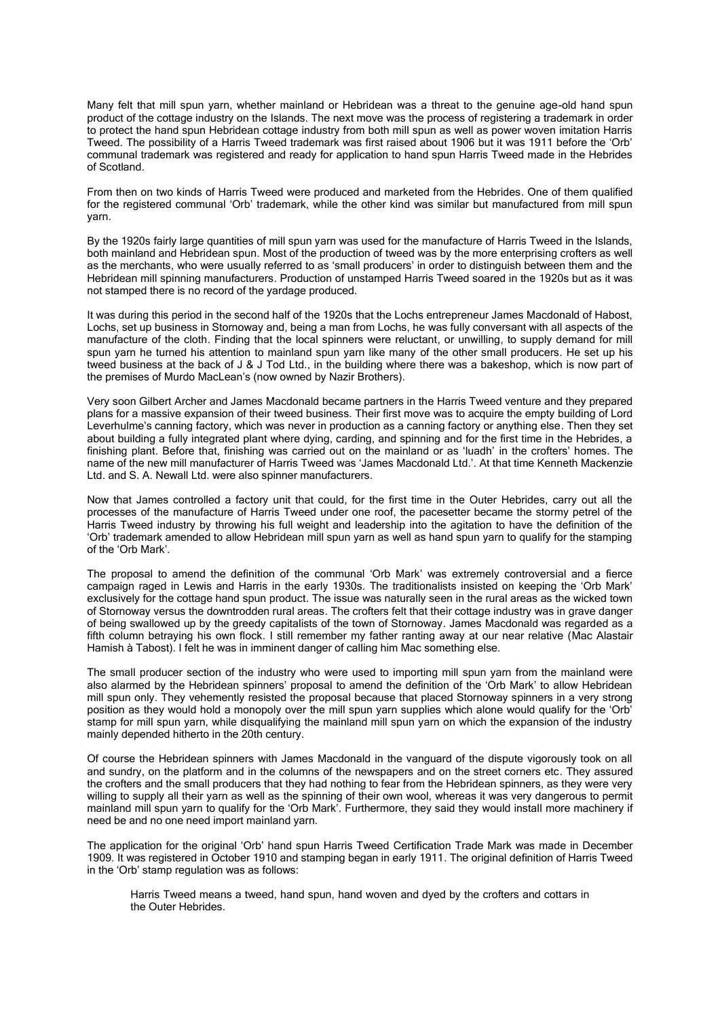Many felt that mill spun yarn, whether mainland or Hebridean was a threat to the genuine age-old hand spun product of the cottage industry on the Islands. The next move was the process of registering a trademark in order to protect the hand spun Hebridean cottage industry from both mill spun as well as power woven imitation Harris Tweed. The possibility of a Harris Tweed trademark was first raised about 1906 but it was 1911 before the 'Orb' communal trademark was registered and ready for application to hand spun Harris Tweed made in the Hebrides of Scotland.

From then on two kinds of Harris Tweed were produced and marketed from the Hebrides. One of them qualified for the registered communal 'Orb' trademark, while the other kind was similar but manufactured from mill spun yarn.

By the 1920s fairly large quantities of mill spun yarn was used for the manufacture of Harris Tweed in the Islands, both mainland and Hebridean spun. Most of the production of tweed was by the more enterprising crofters as well as the merchants, who were usually referred to as 'small producers' in order to distinguish between them and the Hebridean mill spinning manufacturers. Production of unstamped Harris Tweed soared in the 1920s but as it was not stamped there is no record of the yardage produced.

It was during this period in the second half of the 1920s that the Lochs entrepreneur James Macdonald of Habost, Lochs, set up business in Stornoway and, being a man from Lochs, he was fully conversant with all aspects of the manufacture of the cloth. Finding that the local spinners were reluctant, or unwilling, to supply demand for mill spun yarn he turned his attention to mainland spun yarn like many of the other small producers. He set up his tweed business at the back of J & J Tod Ltd., in the building where there was a bakeshop, which is now part of the premises of Murdo MacLean's (now owned by Nazir Brothers).

Very soon Gilbert Archer and James Macdonald became partners in the Harris Tweed venture and they prepared plans for a massive expansion of their tweed business. Their first move was to acquire the empty building of Lord Leverhulme's canning factory, which was never in production as a canning factory or anything else. Then they set about building a fully integrated plant where dying, carding, and spinning and for the first time in the Hebrides, a finishing plant. Before that, finishing was carried out on the mainland or as 'luadh' in the crofters' homes. The name of the new mill manufacturer of Harris Tweed was 'James Macdonald Ltd.'. At that time Kenneth Mackenzie Ltd. and S. A. Newall Ltd. were also spinner manufacturers.

Now that James controlled a factory unit that could, for the first time in the Outer Hebrides, carry out all the processes of the manufacture of Harris Tweed under one roof, the pacesetter became the stormy petrel of the Harris Tweed industry by throwing his full weight and leadership into the agitation to have the definition of the 'Orb' trademark amended to allow Hebridean mill spun yarn as well as hand spun yarn to qualify for the stamping of the 'Orb Mark'.

The proposal to amend the definition of the communal 'Orb Mark' was extremely controversial and a fierce campaign raged in Lewis and Harris in the early 1930s. The traditionalists insisted on keeping the 'Orb Mark' exclusively for the cottage hand spun product. The issue was naturally seen in the rural areas as the wicked town of Stornoway versus the downtrodden rural areas. The crofters felt that their cottage industry was in grave danger of being swallowed up by the greedy capitalists of the town of Stornoway. James Macdonald was regarded as a fifth column betraying his own flock. I still remember my father ranting away at our near relative (Mac Alastair Hamish à Tabost). I felt he was in imminent danger of calling him Mac something else.

The small producer section of the industry who were used to importing mill spun yarn from the mainland were also alarmed by the Hebridean spinners' proposal to amend the definition of the 'Orb Mark' to allow Hebridean mill spun only. They vehemently resisted the proposal because that placed Stornoway spinners in a very strong position as they would hold a monopoly over the mill spun yarn supplies which alone would qualify for the 'Orb' stamp for mill spun yarn, while disqualifying the mainland mill spun yarn on which the expansion of the industry mainly depended hitherto in the 20th century.

Of course the Hebridean spinners with James Macdonald in the vanguard of the dispute vigorously took on all and sundry, on the platform and in the columns of the newspapers and on the street corners etc. They assured the crofters and the small producers that they had nothing to fear from the Hebridean spinners, as they were very willing to supply all their yarn as well as the spinning of their own wool, whereas it was very dangerous to permit mainland mill spun yarn to qualify for the 'Orb Mark'. Furthermore, they said they would install more machinery if need be and no one need import mainland yarn.

The application for the original 'Orb' hand spun Harris Tweed Certification Trade Mark was made in December 1909. It was registered in October 1910 and stamping began in early 1911. The original definition of Harris Tweed in the 'Orb' stamp regulation was as follows:

Harris Tweed means a tweed, hand spun, hand woven and dyed by the crofters and cottars in the Outer Hebrides.